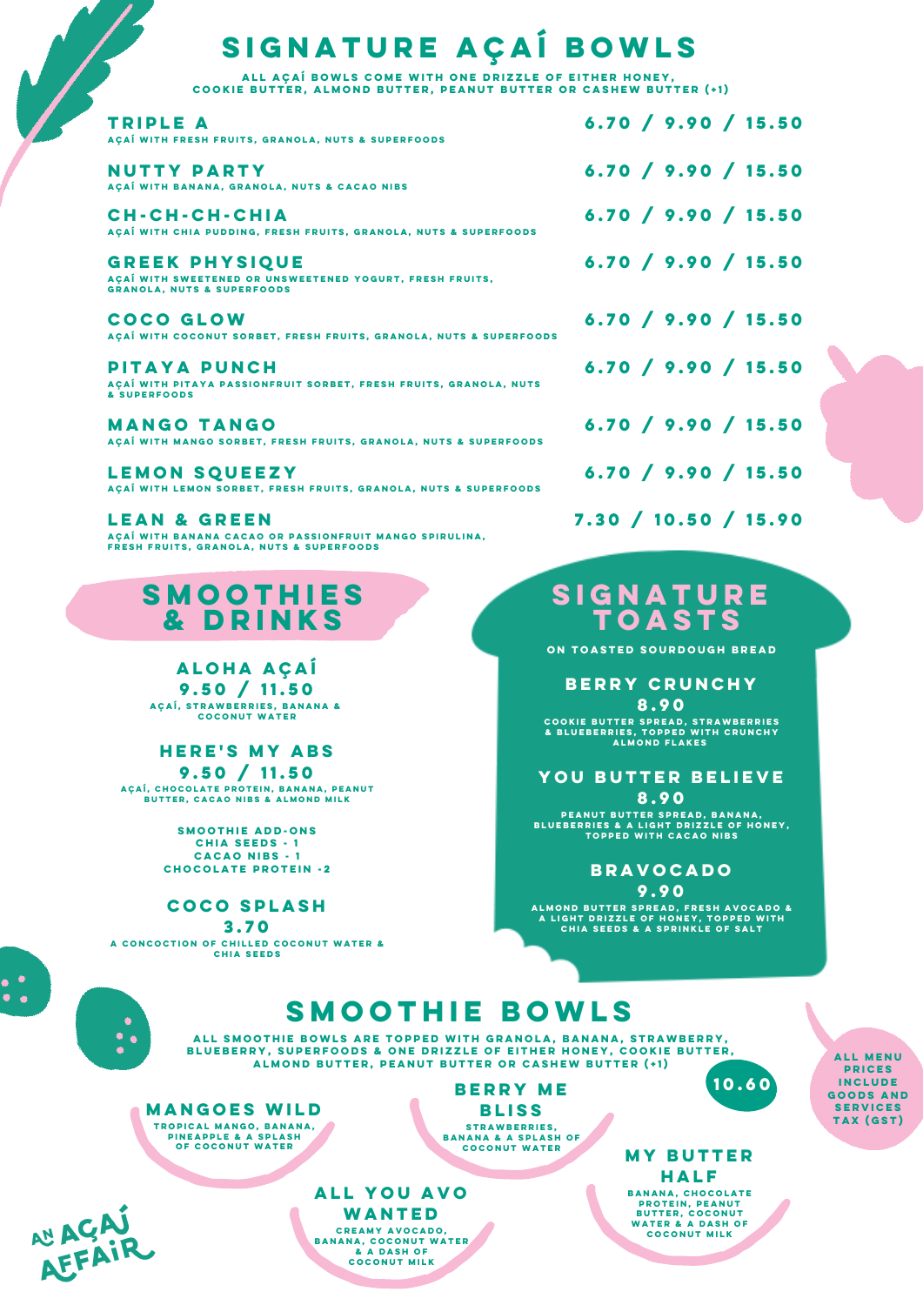# **signature açaí bowls**

| ALL AÇAÍ BOWLS COME WITH ONE DRIZZLE OF EITHER HONEY,<br>COOKIE BUTTER, ALMOND BUTTER, PEANUT BUTTER OR CASHEW BUTTER (+1)     |                      |
|--------------------------------------------------------------------------------------------------------------------------------|----------------------|
| <b>TRIPLE A</b><br>ACAÍ WITH FRESH FRUITS, GRANOLA, NUTS & SUPERFOODS                                                          | 6.70 / 9.90 / 15.50  |
| NUTTY PARTY<br>AÇAÍ WITH BANANA, GRANOLA, NUTS & CACAO NIBS                                                                    | 6.70 / 9.90 / 15.50  |
| CH-CH-CH-CHIA<br>AÇAÍ WITH CHIA PUDDING, FRESH FRUITS, GRANOLA, NUTS & SUPERFOODS                                              | 6.70 / 9.90 / 15.50  |
| <b>GREEK PHYSIQUE</b><br>AÇAÍ WITH SWEETENED OR UNSWEETENED YOGURT, FRESH FRUITS,<br><b>GRANOLA, NUTS &amp; SUPERFOODS</b>     | 6.70 / 9.90 / 15.50  |
| <b>COCO GLOW</b><br>ACAÍ WITH COCONUT SORBET, FRESH FRUITS, GRANOLA, NUTS & SUPERFOODS                                         | 6.70 / 9.90 / 15.50  |
| <b>PITAYA PUNCH</b><br>AÇAİ WITH PITAYA PASSIONFRUIT SORBET, FRESH FRUITS, GRANOLA, NUTS<br>& SUPERFOODS                       | 6.70 / 9.90 / 15.50  |
| <b>MANGO TANGO</b><br>ACAÍ WITH MANGO SORBET, FRESH FRUITS, GRANOLA, NUTS & SUPERFOODS                                         | 6.70 / 9.90 / 15.50  |
| <b>LEMON SQUEEZY</b><br>ACAÍ WITH LEMON SORBET, FRESH FRUITS, GRANOLA, NUTS & SUPERFOODS                                       | 6.70 / 9.90 / 15.50  |
| <b>LEAN &amp; GREEN</b><br>AÇAÎ WITH BANANA CACAO OR PASSIONFRUIT MANGO SPIRULINA,<br>FRESH FRUITS, GRANOLA, NUTS & SUPERFOODS | 7.30 / 10.50 / 15.90 |

## **smoothies & drinks**

**aloha açaí 9.50 / 11.50 açaí, strawberries, banana & coconut water**

#### **here's my abs 9.50 / 11.50**

**açaí, chocolate protein, banana, peanut butter, cacao nibs & almond milk**

**smoothie add-ons chia seeds - 1 cacao nibs - 1 chocolate protein -2**

#### **coco splash**

**3.70**



## **smoothie bowls**

**all smoothie bowls are topped with granola, banana, strawberry, blueberry, superfoods & one drizzle of either honey, cookie butter, almond butter, peanut butter or cashew butter (+1)**



**berry me bliss strawberries, banana & a splash of coconut water**



 $\bullet$ 

**all you avo WANTED creamy avocado, banana, coconut water & a dash of coconut milk**

**of coconut water my butter half banana, chocolate protein, peanut butter, coconut water & a dash of coconut milk**

**10.60**

**all menu prices include goods and services tax (gst)**

### **signature toasts**

**on toasted sourdough bread**

**berry crunchy 8.90**

**cookie butter spread, strawberries & blueberries, topped with crunchy almond flakes**

### **you butter believe 8.90**

**peanut butter spread, banana, blueberries & a light drizzle of honey, topped with cacao nibs**

**bravocado 9.90**

ALMOND BUTTER SPREAD, FRESH AVOCADO &<br>A LIGHT DRIZZLE OF HONEY, TOPPED WITH<br>CHIA SEEDS & A SPRINKLE OF SALT